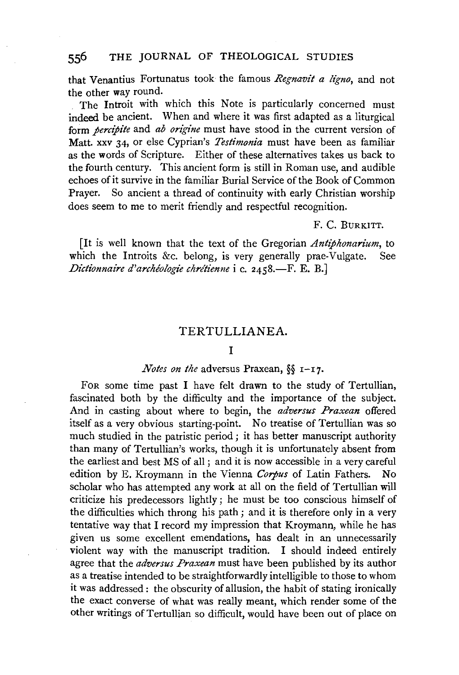## **SS6 THE** JOURNAL OF THEOLOGICAL STUDIES

that Venantius Fortunatus took the famous *Regnavit a ligno,* and not the other way round.

The Introit with which this Note is particularly concerned must indeed be ancient. When and where it was first adapted as a liturgical form *percipite* and *ab origine* must have stood in the current version of Matt. xxv 34, or else Cyprian's *Testimonia* must have been as familiar as the words of Scripture. Either of these alternatives takes us back to the fourth century. This ancient form is still in Roman use, and audible echoes of it survive in the familiar Burial Service of the Book of Common Prayer. So ancient a thread of continuity with early Christian worship does seem to me to merit friendly and respectful recognition.

## F. c. BURKITT.

[It is well known that the text of the Gregorian *Antiphonarium,* to which the Introits &c. belong, is very generally prae-Vulgate. See *Dictionnaire d'arch!ologie chr/tienne* i c. 2458.-F. E. B.]

#### TERTULLIANEA.

### I

#### *Notes on the adversus Praxean,*  $\S_{1}$  1-17.

FoR some time past I have felt drawn to the study of Tertullian, fascinated both by the difficulty and the importance of the subject. And in casting about where to begin, the *adversus Praxean* offered itself as a very obvious starting-point. No treatise of Tertullian was so much studied in the patristic period ; it has better manuscript authority than many of Tertullian's works, though it is unfortunately absent from the earliest and best MS of all ; and it is now accessible in a very careful edition by E. Kroymann in the Vienna *Corpus* of Latin Fathers. No scholar who has attempted any work at all on the field of Tertullian will criticize his predecessors lightly ; he must be too conscious himself of the difficulties which throng his path ; and it is therefore only in a very tentative way that I record my impression that Kroymann, while he has given us some excellent emendations, has dealt in an unnecessarily violent way with the manuscript tradition. I should indeed entirely agree that the *adversus Praxean* must have been published by its author as a treatise intended to be straightforwardly intelligible to those to whom it was addressed: the obscurity of allusion, the habit of stating ironically the exact converse of what was really meant, which render some of the other writings of Tertullian so difficult, would have been out of place on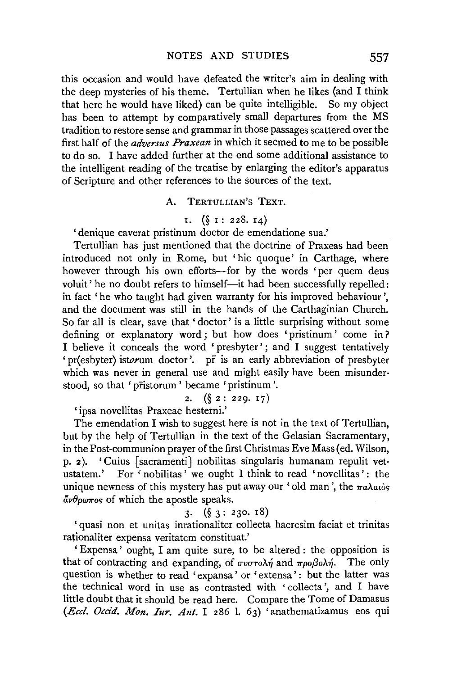this occasion and would have defeated the writer's aim in dealing with the deep mysteries of his theme. Tertullian when he likes (and I think that here he would have liked) can be quite intelligible. So my object has been to attempt by comparatively small departures from the MS tradition to restore sense and grammar in those passages scattered over the first half of the *adversus Praxean* in which it seemed to me to be possible to do so. I have added further at the end some additional assistance to the intelligent reading of the treatise by enlarging the editor's apparatus of Scripture and other references to the sources of the text.

### A. TERTULLIAN'S TEXT.

I.  $(\S 1: 228. 14)$ 

' denique caverat pristinum doctor de emendatione sua.'

Tertullian has just mentioned that the doctrine of Praxeas had been introduced not only in Rome, but 'hic quoque' in Carthage, where however through his own efforts--for by the words 'per quem deus voluit' he no doubt refers to himself-it had been successfully repelled: in fact 'he who taught had given warranty for his improved behaviour', and the document was still in the hands of the Carthaginian Church. So far all is clear, save that 'doctor' is a little surprising without some defining or explanatory word ; but how does 'pristinum ' come in? I believe it conceals the word 'presbyter'; and I suggest tentatively 'pr(esbyter) istorum doctor'. pr is an early abbreviation of presbyter which was never in general use and might easily have been misunder· stood, so that 'pristorum' became 'pristinum'.

2.  $(\S 2: 229. 17)$ 

'ipsa novellitas Praxeae hesterni.'

The emendation I wish to suggest here is not in the text of Tertullian, but by the help of Tertullian in the text of the Gelasian Sacramentary, in the Post-communion prayer of the first Christmas Eve Mass (ed. Wilson, p. 2). 'Cuius [sacramenti] nobilitas singularis humanam repulit vetustatem.' For 'nobilitas' we ought I think to read 'novellitas': the unique newness of this mystery has put away our 'old man', the  $\pi a \lambda a_i \delta s$  $\mathbf{\tilde{\omega}}\nu\theta\rho\omega\pi$ os of which the apostle speaks.

3· (§ 3: 230. r8)

'quasi non et unitas inrationaliter collecta haeresim faciat et trinitas rationaliter expensa veritatem constituat.'

'Expensa' ought, I am quite sure, to be altered : the opposition *is*  that of contracting and expanding, of  $\sigma v \sigma \tau o \lambda \eta$  and  $\pi \rho o \beta o \lambda \eta$ . The only question is whether to read 'expansa' or 'extensa': but the latter was the technical word in use as contrasted with ' collecta ', and I have little doubt that it should be read here. Compare the Tome of Damasus *(Eccl. Occid. Mon. Iur. Ant.* I 286 I. 63) 'anathematizamus eos qui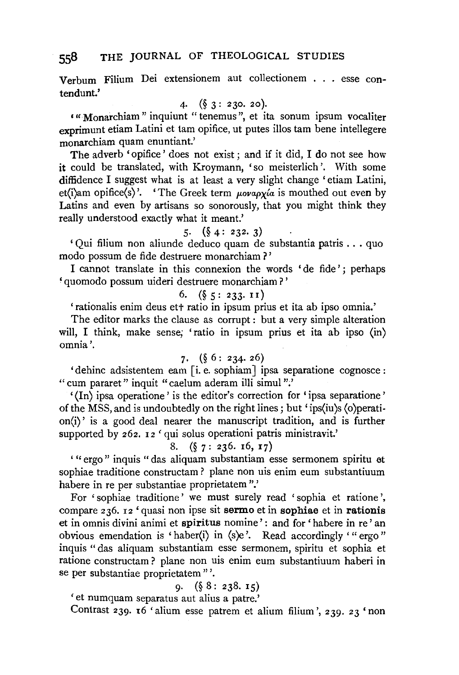Verbum Filium Dei extensionem aut collectionem . . . esse contendunt.'

4.  $(\S 3: 230. 20)$ .

" Monarchiam" inquiunt " tenemus", et ita sonum ipsum vocaliter exprimunt etiam Latini et tam opifice, ut putes illos tam bene intellegere monarchiam quam enuntiant.'

The adverb 'opifice' does not exist; and if it did, I do not see how it could be translated, with Kroymann, 'so meisterlich '. With some diffidence I suggest what is at least a very slight change ' etiam Latini, et(i)am opifice(s)'. 'The Greek term  $\mu$ ova $\rho x$  is mouthed out even by Latins and even by artisans so sonorously, that you might think they really understood exactly what it meant.'

$$
(\S 4: 232. 3)
$$

5· (§ 4: 232. 3) 'Qui filium non aliunde deduco quam de substantia patris ... quo modo possum de fide destruere monarchiam ? '

I cannot translate in this connexion the words 'de fide'; perhaps 'quomodo possum uideri destruere monarchiam ? '

6. 
$$
(\S 5: 233.11)
$$

' rationalis enim deus ett ratio in ipsum prius et ita ab ipso omnia.'

The editor marks the clause as corrupt: but a very simple alteration will, I think, make sense; 'ratio in ipsum prius et ita ab ipso (in) omnia'.

$$
7. \quad (\S 6: 234. 26)
$$

'dehinc adsistentem eam [i.e. sophiam] ipsa separatione cognosce: " cum pararet" inquit "caelum aderam illi simul"."

'(In) ipsa operatione' is the editor's correction for 'ipsa separatione' of the MSS, and is undoubtedly on the right lines; but' ips(iu)s (o)peration(i)' is a good deal nearer the manuscript tradition, and is further supported by 262. I2 'qui solus operationi patris ministravit.'

8. 
$$
(\S 7: 236. 16, 17)
$$

' " ergo" inquis " das aliquam substantiam esse sermonem spiritu et sophiae traditione constructam ? plane non uis enim eum substantiuum habere in re per substantiae proprietatem ".'

For 'sophiae traditione' we must surely read 'sophia et ratione', compare 236. 12 'quasi non ipse sit sermo et in sophiae et in rationis et in omnis divini animi et spiritus nomine' : and for 'habere in re' an obvious emendation is 'haber(i) in  $\langle s \rangle e$ '. Read accordingly '"ergo" inquis " das aliquam substantiam esse sermonem, spiritu et sophia et ratione constructam? plane non uis enim eum substantiuum haberi in se per substantiae proprietatem " '.

$$
9. \quad (\S 8: 238. 15)
$$

' et numquam separatus aut alius a patre.'

Contrast 239. 16 'alium esse patrem et alium filium ', 239. 23 'non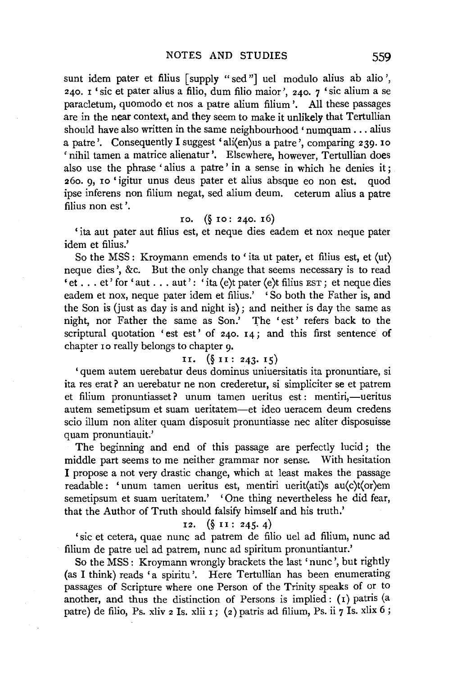sunt idem pater et filius [supply "sed"] uel modulo alius ab alio', 240. I 'sic et pater alius a filio, dum filio maior ', 240. 7 'sic alium a se paracletum, quomodo et nos a patre alium filium '. All these passages are in the near context, and they seem to make it unlikely that Tertullian should have also written in the same neighbourhood 'numquam ... alius a patre'. Consequently I suggest 'ali(en)us a patre', comparing 239. 10 'nihil tamen a matrice alienatur '. Elsewhere, however, Tertullian does also use the phrase 'alius a patre' in a sense in which he denies it; 26o. 9, IO 'igitur unus deus pater et alius absque eo non est. quod ipse inferens non filium negat, sed alium deum. ceterum alius a patre filius non est '.

### 10.  $(\S$  10: 240. 16)

'ita aut pater aut filius est, et neque dies eadem et nox neque pater idem et filius.'

So the MSS : Kroymann emends to 'ita ut pater, et filius est, et (ut) neque dies ', &c. But the only change that seems necessary is to read 'et ... et' for' aut ... aut': 'ita (e)t pater (e)t filius EST; et neque dies eadem et nox, neque pater idem et filius.' 'So both the Father is, and the Son is (just as day is and night is); and neither is day the same as night, nor Father the same as Son.' The 'est' refers back to the scriptural quotation 'est est' of 240. 14; and this first sentence of chapter 10 really belongs to chapter 9.

## II.  $(\S$  II: 243. 15)

'quem autem uerebatur deus dominus uniuersitatis ita pronuntiare, si ita res erat? an uerebatur ne non crederetur, si simpliciter se et patrem et filium pronuntiasset? unum tamen ueritus est : mentiri,—ueritus autem semetipsum et suam ueritatem-et ideo ueracem deum credens scio ilium non aliter quam disposuit pronuntiasse nee aliter disposuisse quam pronuntiauit.'

The beginning and end of this passage are perfectly lucid ; the middle part seems to me neither grammar nor sense. With hesitation I propose a not very drastic change, which at least makes the passage readable: 'unum tamen ueritus est, mentiri uerit(ati)s au(c)t(or)em semetipsum et suam ueritatem.' 'One thing nevertheless he did fear, that the Author of Truth should falsify himself and his truth.'

### 12.  $(\S$  II: 245.4)

'sic et cetera, quae nunc ad patrem de filio uel ad filium, nunc ad filium de patre uel ad patrem, nunc ad spiritum pronuntiantur.'

So the MSS: Kroymann wrongly brackets the last' nunc', but rightly (as I think) reads 'a spiritu '. Here Tertullian has been enumerating passages of Scripture where one Person of the Trinity speaks of or to another, and thus the distinction of Persons is implied :  $(1)$  patris (a patre) de filio, Ps. xliv 2 Is. xlii 1; (2) patris ad filium, Ps. ii 7 Is. xlix 6;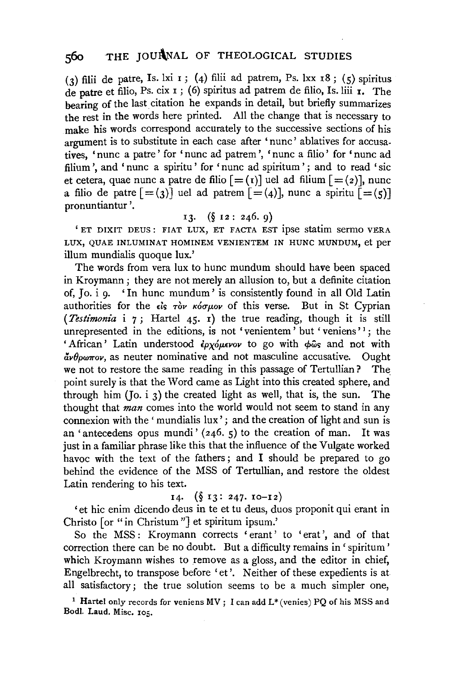(3) filii de patre, Is. lxi I; (4) filii ad patrem, Ps. lxx I8; (5) spiritus<br>de filio Is. liii - Theory is (6) spiritus ad patrem de filio Is. liii - Theory de patre et filio, Ps. cix I; (6) spiritus ad patrem de filio, Is. liii I. The bearing of the last citation he expands in detail, but briefly summarizes the rest in the words here printed. All the change that is necessary to make his words correspond accurately to the successive sections of his argument is to substitute in each case after 'nunc' ablatives for accusatives, 'nunc a patre ' for 'nunc ad patrem ', 'nunc a filio' for 'nunc ad filium ', and 'nunc a spiritu' for 'nunc ad spiritum'; and to read 'sic et cetera, quae nunc a patre de filio  $[=(r)]$  uel ad filium  $[=(2)]$ , nunc a filio de patre  $[=(3)]$  uel ad patrem  $[=(4)]$ , nunc a spiritu  $[=(5)]$ pronuntiantur '.

## 13.  $(\S$  12: 246. 9)

'ET DIXIT DEUS: FIAT LUX, ET FACTA EST ipse statim sermo VERA LUX, QUAE INLUMINAT HOMINEM VENIENTEM IN HUNC MUNDUM, et per ilium mundialis quoque lux.'

The words from vera lux to hunc mundum should have been spaced in Kroymann ; they are not merely an allusion to, but a definite citation of, Jo. i 9.  $\cdot$  In hunc mundum' is consistently found in all Old Latin authorities for the  $\epsilon$ is  $\tau$ ov  $\kappa$ *60 pov* of this verse. But in St Cyprian *(Testimonia* i 7; Hartel 45· x) the true reading, though it is still unrepresented in the editions, is not 'venientem' but 'veniens''; the 'African' Latin understood  $\epsilon_{\rho\chi\phi\mu\epsilon\nu\sigma\nu}$  to go with  $\phi\hat{\omega}_{\mathsf{S}}$  and not with *t1vfJpw7rov,* as neuter nominative and not masculine accusative. Ought we not to restore the same reading in this passage of Tertullian? The point surely is that the Word came as Light into this created sphere, and through him (Jo. i 3) the created light as well, that is, the sun. The thought that *man* comes into the world would not seem to stand in any connexion with the 'mundialis lux'; and the creation of light and sun is an 'antecedens opus mundi' (246. 5) to the creation of man. It was just in a familiar phrase like this that the influence of the Vulgate worked havoc with the text of the fathers; and I should be prepared to go behind the evidence of the MSS of Tertullian, and restore the oldest Latin rendering to his text.

### 14.  $(\S 13: 247. 10-12)$

'et hie enim dicendo deus in te et tu deus, duos proponit qui erant in Christo [or "in Christum "] et spiritum ipsum.'

So the MSS: Kroymann corrects 'erant' to 'erat', and of that correction there can be no doubt. But a difficulty remains in 'spiritum' which Kroymann wishes to remove as a gloss, and the editor in chief, Engelbrecht, to transpose before 'et'. Neither of these expedients is at all satisfactory; the true solution seems to be a much simpler one,

<sup>1</sup> Hartel only records for veniens  $MV$  ; I can add  $L^*$  (venies) PQ of his MSS and Bodl. Laud. Mise. 105.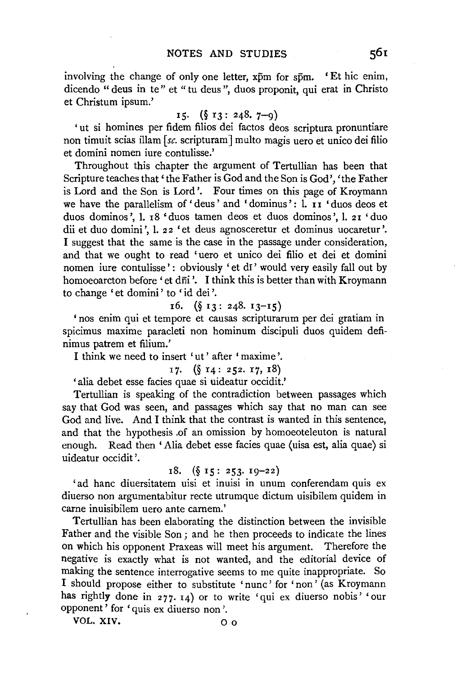involving the change of only one letter, xpm for spm. 'Et hic enim, dicendo " deus in te" et " tu deus ", duos proponit, qui erat in Christo et Christum ipsum.'

## 15.  $(\S$  13: 248. 7-9)

' ut si homines per fidem filios dei factos deos scriptura pronuntiare non timuit scias illam *[se.* scripturam] multo magis uero et unico dei filio et domini nomen iure contulisse.'

Throughout this chapter the argument of Tertullian has been that Scripture teaches that 'the Father is God and the Son is God', 'the Father is Lord and the Son is Lord'. Four times on this page of Kroymann we have the parallelism of 'deus' and 'dominus': 1. II' duos deos et duos dominos', 1. 18 'duos tamen deos et duos dominos', 1. 21 'duo dii et duo domini', 1. 22 'et deus agnosceretur et dominus uocaretur '. I suggest that the same is the case in the passage under consideration, and that we ought to read 'uero et unico dei filio et dei et domini nomen iure contulisse': obviously 'et dī' would very easily fall out by homoeoarcton before 'et dni'. I think this is better than with Kroymann to change 'et domini' to 'id dei'.

#### 16.  $(\S 13: 248. 13-15)$

' nos enim qui et tempore et causas scripturarum per dei gratiam in spicimus maxime paracleti non hominum discipuli duos quidem definimus patrem et filium.'

I think we need to insert 'ut' after 'maxime '.

17. (§ 14: 252. 17, 18)

'alia debet esse facies quae si uideatur occidit.'

Tertullian is speaking of the contradiction between passages which say that God was seen, and passages which say that no man can see God and live. And I think that the contrast is wanted in this sentence, and that the hypothesis .of an omission by homoeoteleuton is natural enough. Read then' Alia debet esse facies quae (uisa est, alia quae) si uideatur occidit '.

#### $18.$  (§ 15: 253. 19-22)

'ad hanc diuersitatem uisi et inuisi in unum conferendam quis ex diuerso non argumentabitur recte utrumque dictum uisibilem quidem in carne inuisibilem uero ante carnem.'

Tertullian has been elaborating the distinction between the invisible Father and the visible Son ; and he then proceeds to indicate the lines on which his opponent Praxeas will meet his argument. Therefore the negative is exactly what is not wanted, and the editorial device of making the sentence interrogative seems to me quite inappropriate. So I should propose either to substitute 'nunc' for 'non' (as Kroymann has rightly done in 277. 14) or to write 'qui ex diuerso nobis' 'our opponent' for 'quis ex diuerso non'.

VOL. XIV. 0 o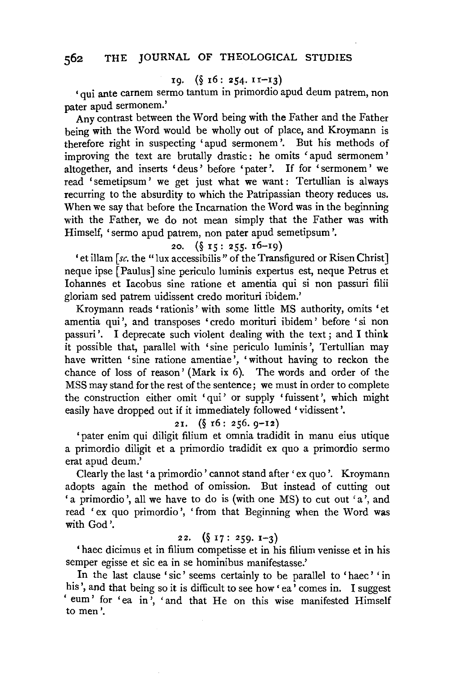### 10.  $(\S 16: 254. 11-13)$

• qui ante carnem sermo tantum in primordia apud deum patrem, non pater apud sermonem.'

Any contrast between the Word being with the Father and the Father being with the Word would be wholly out of place, and Kroymann is therefore right in suspecting 'apud sermonem '. But his methods of improving the text are brutally drastic : he omits 'apud sermonem ' altogether, and inserts ' deus' before 'pater'. If for ' sermonem ' we read 'semetipsum ' we get just what we want : Tertullian is always recurring to the absurdity to which the Patripassian theory reduces us. When we say that before the Incarnation the Word was in the beginning with the Father, we do not mean simply that the Father was with Himself, 'sermo apud patrem, non pater apud semetipsum '.

# 20. (§ 15: 255. r6-rg)

'et illam *[se.* the "lux accessibilis" of the Transfigured or Risen Christ] neque ipse [Paulus] sine periculo luminis expertus est, neque Petrus et Iohannes et Iacobus sine ratione et amentia qui si non passuri filii gloriam sed patrem uidissent credo morituri ibidem.'

Kroymann reads 'rationis' with some little MS authority, omits 'et amentia qui', and transposes 'credo morituri ibidem' before 'si non passuri '. I deprecate such violent dealing with the text ; and I think it possible that, parallel with 'sine periculo luminis ', Tertullian may have written 'sine ratione amentiae', 'without having to reckon the chance of loss of reason' (Mark ix 6). The words and order of the MSS may stand for the rest of the sentence; we must in order to complete the construction either omit 'qui' or supply 'fuissent ', which might easily have dropped out if it immediately followed 'vidissent '.

21. (§ r6: 256. g-12)

'pater enim qui diligit filium et omnia tradidit in manu eius utique a primordio diligit et a primordio tradidit ex quo a primordia sermo erat apud deum.'

Clearly the last 'a primordia' cannot stand after 'ex quo'. Kroymann adopts again the method of omission. But instead of cutting out 'a primordio', all we have to do is (with one MS) to cut out 'a', and read 'ex quo primordio ', 'from that Beginning when the Word was with God'.

### 22.  $(\S 17: 259. 1-3)$

'haec dicimus et in filium competisse et in his filium venisse et in his semper egisse et sic ea in se hominibus manifestasse.'

In the last clause ' sic' seems certainly to be parallel to 'haec' ' in his', and that being so it is difficult to see how 'ea' comes in. I suggest ' eum' for 'ea in', 'and that He on this wise manifested Himself to men'.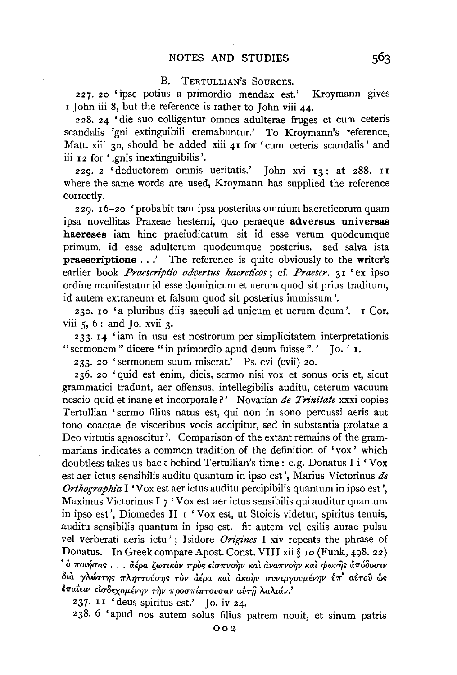## B. TERTULLIAN'S SOURCES.

227. 20 'ipse potius a primordia mendax est.' Kroymann gives r John iii 8, but the reference is rather to John viii 44·

228. 24 'die suo colligentur omnes adulterae fruges et cum ceteris scandalis igni extinguibili cremabuntur.' To Kroymann's reference, Matt. xiii 30, should be added xiii 41 for 'cum ceteris scandalis' and iii 12 for 'ignis inextinguibilis'.

229. 2 'deductorem omnis ueritatis.' John xvi I3: at 288. II where the same words are used, Kroymann has supplied the reference correctly.

229. I6-2o 'probabit tarn ipsa posteritas omnium haereticorum quam ipsa novellitas Praxeae hesterni, quo peraeque adversus universas haereses iam hinc praeiudicatum sit id esse verum quodcumque primum, id esse adulterum quodcumque posterius. sed salva ista praescriptione ...' The reference is quite obviously to the writer's earlier book *Praescriptio adversus haereticos*; cf. *Praescr.* 31 'ex ipso ordine manifestatur id esse dominicum et uerum quod sit prius traditum, id autem extraneum et falsum quod sit posterius immissum '.

230. IO 'a pluribus diis saeculi ad unicum et uerum deum '. 1 Cor. viii  $5, 6$ : and Jo. xvii 3.

233. I4 'iam in usu est nostrorum per simplicitatem interpretationis " sermonem" dicere " in primordio apud deum fuisse". ' Jo. i I.

233. 20 'sermonem suum miserat.' Ps. cvi (cvii) 20.

236. 20 'quid est enim, dicis, sermo nisi vox et sonus oris et, sicut grammatici tradunt, aer offensus, intellegibilis auditu, ceterum vacuum nescio quid et inane et incorporale?' Novatian *de Trinitate* xxxi copies Tertullian 'sermo filius natus est, qui non in sono percussi aeris aut tono coactae de visceribus vocis accipitur, sed in substantia prolatae a Deo virtutis agnoscitur '. Comparison of the extant remains of the grammarians indicates a common tradition of the definition of 'vox' which doubtless takes us back behind Tertullian's time: e.g. Donatus I i 'Vox est aer ictus sensibilis auditu quantum in ipso est', Marius Victorinus *de Orthographia* I 'Vox est aer ictus auditu percipibilis quantum in ipso est', Maximus Victorinus I  $7$  'Vox est aer ictus sensibilis qui auditur quantum in ipso est', Diomedes II r 'Vox est, ut Stoicis videtur, spiritus tenuis, auditu sensibilis quantum in ipso est. fit autem vel exilis aurae pulsu vel verberati aeris ictu'; Isidore *Origines* I xiv repeats the phrase of Donatus. In Greek compare Apost. Const. VIII xii § 10 (Funk, 498. 22)  $\cdot$  δ ποιήσας  $\ldots$  αέρα ζωτικὸν πρὸς εἰσπνοὴν καὶ ἀναπνοὴν καὶ φωνῆς ἀπόδοσιν  $\delta$ ια γλώττης πληττούσης τον αέρα και ακοήν συνεργουμένην ύπ' αύτου ως επαίειν εισδεχομένην την προσπίπτουσαν αύτη λαλιάν.'

237. rr 'deus spiritus est.' Jo. iv 24.

238. 6 'apud nos autem solus filius patrem nouit, et sinum patris